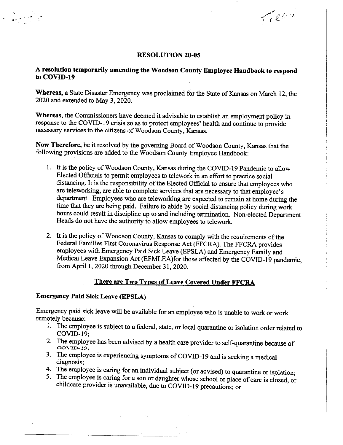#### **RESOLUTION 20-05**

To Change

# **A resolution temporarily amending the Woodson County Employee Handbook to respond to COVID-19**

**Whereas,** a State Disaster Emergency was proclaimed for the State of Kansas on March 12, the 2020 and extended to May 3, 2020.

**Whereas,** the Commissioners have deemed it advisable to establish an employment policy in response to the COVID-19 crisis so as to protect employees' health and continue to provide necessary services to the citizens of Woodson County, Kansas.

**Now Therefore,** be it resolved by the governing Board of Woodson County, Kansas that the following provisions are added to the Woodson County Employee Handbook:

- 1. It is the policy of Woodson County, Kansas during the COVID-19 Pandemic to allow Elected Officials to permit employees to telework in an effort to practice social distancing. It is the responsibility of the Elected Official to ensure that employees who are teleworking, are able to complete services that are necessary to that employee's department. Employees who are teleworking are expected to remain at home during the time that they are being paid. Failure to abide by social distancing policy during work hours could result in discipline up to and including termination. Non-elected Department Heads do not have the authority to allow employees to telework.
- 2. It is the policy of Woodson County, Kansas to comply with the requirements of the Federal Families First Coronavirus Response Act (FFCRA). The FFCRA provides employees with Emergency Paid Sick Leave (EPSLA) and Emergency Family and Medical Leave Expansion Act (EFMLEA)for those affected by the COVID-19 pandemic, from April 1, 2020 through December 31, 2020.

## **There are Two Types of Leave Covered Under FFCRA**

## **Emergency Paid Sick Leave (EPSLA)**

Emergency paid sick leave will be available for an employee who is unable to work or work remotely because:

- The employee is subject to a federal, state, or local quarantine or isolation order related to COVID-19;
- The employee has been advised by a health care provider to self-quarantine because of  $COVID-19$
- 3. The employee is experiencing symptoms of COVID-19 and is seeking a medical diagnosis;
- The employee is caring for an individual subject (or advised) to quarantine or isolation;
- 5. The employee is caring for a son or daughter whose school or place of care is closed, or childcare provider is unavailable, due to COVID-19 precautions; or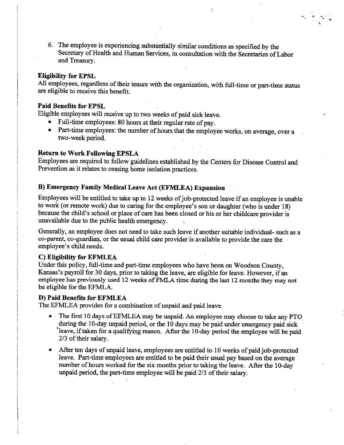6. The employee is experiencing substantially similar conditions as specified by the Secretary of Health and Human Services, in consultation with the Secretaries of Labor and Treasury.

#### **Eligibility for EPSL**

All employees, regardless of their tenure with the organization, with full-time or part-time status are eligible to receive this benefit.

#### **Paid Benefits for EPSL**

Eligible employees will receive up to two weeks of paid sick leave.

- Full-time employees: 80 hours at their regular rate of pay.
- Part-time employees: the number of hours that the employee works, on average, over a two-week period.

#### **Return to Work Following EPSLA**

Employees are required to follow guidelines established by the Centers for Disease Control and Prevention as it relates to ceasing home isolation practices.

## **Emergency Family Medical Leave Act (EFMLEA) Expansion**

Employees will be entitled to take up to 12 weeks of job-protected leave if an employee is unable to work (or remote work) due to caring for the employee's son or daughter (who is under 18) because the child's school or place of care has been closed or his or her childcare provider is unavailable due to the public health emergency.

Generally, an employee does not need to take such leave if another suitable individual- such as a co-parent, co-guardian, or the usual child care provider is available to provide the care the employee's child needs.

## **Eligibility for EFMLEA**

Under this policy, full-time and part-time employees who have been on Woodson County, Kansas's payroll for 30 days, prior to taking the leave, are eligible for leave. However, if an employee has previously used 12 weeks of FMLA time during the last 12 months they may not be eligible for the EFMLA.

#### **Paid Benefits for EFMLEA**

The EFMLEA provides for a combination of unpaid and paid leave.

- The first 10 days of EFMLEA may be unpaid. An employee may choose to take any PTO during the 10-day unpaid period, or the **10** days may be paid under emergency paid sick 'leave, if taken for a qualifying reason. After the 10-day period the employee will be paid 2/3 of their salary.
- After ten days of unpaid leave, employees are entitled to 10 weeks of paid job-protected leave. Part-time employees are entitled to be paid their usual pay based on the average number of hours worked for the six months prior to taking the leave. After the 10-day unpaid period, the part-time employee will be paid 2/3 of their salary.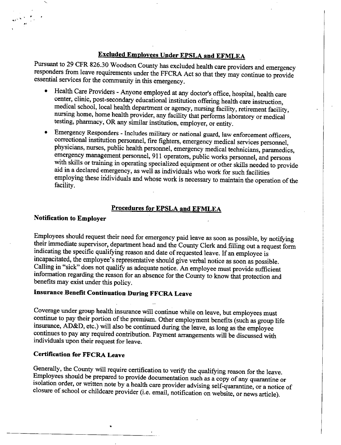# **Excluded Employees Under EPSLA and EFMLEA**

Pursuant to 29 CFR 826.30 Woodson County has excluded health care providers and emergency responders from leave requirements under the FFCRA Act so that they may continue to provide essential services for the community in this emergency.

- Health Care Providers Anyone employed at any doctor's office, hospital, health care center, clinic, post-secondary educational institution offering health care instruction, medical school, local health department or agency, nursing facility, retirement facility, nursing home, home health provider, any facility that performs laboratory or medical testing, pharmacy, OR any similar institution, employer, or entity.
- Emergency Responders Includes military or national guard, law enforcement officers, correctional institution personnel, fire fighters, emergency medical services personnel, physicians, nurses, public health personnel, emergency medical technicians, paramedics, emergency management personnel, 911 operators, public works personnel, and persons with skills or training in operating specialized equipment or other skills needed to provide aid in a declared emergency, as well as individuals who work for such facilities employing these individuals and whose work is necessary to maintain the operation of the facility.

## **Procedures for EPSLA and EFMLEA**

## **Notification to Employer**

Employees should request their need for emergency paid leave as soon as possible, by notifying their immediate supervisor, department head and the County Clerk and filling out a request form indicating the specific qualifying reason and date of requested leave. If an employee is incapacitated, the employee's representative should give verbal notice as soon as possible. Calling in "sick" does not qualify as adequate notice. An employee must provide sufficient information regarding the reason for an absence for the County to know that protection and benefits may exist under this policy.

# **Insurance Benefit Continuation During FFCRA Leave**

Coverage under group health insurance will continue while on leave, but employees must continue to pay their portion of the premium. Other employment benefits (such as group life insurance, AD&D, etc.) will also be continued during the leave, as long as the employee continues to pay any required contribution. Payment arrangements will be discussed with individuals upon their request for leave.

## **Certification for FFCRA Leave**

Generally, the County will require certification to verify the qualifying reason for the leave. Employees should be prepared to provide documentation such as a copy of any quarantine or isolation order, or written note by a health care provider advising self-quarantine, or a notice of closure of school or childcare provider (i.e. email, notification on website, or news article).